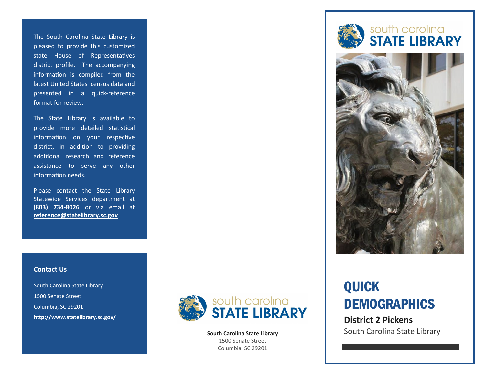The South Carolina State Library is pleased to provide this customized state House of Representatives district profile. The accompanying information is compiled from the latest United States census data and presented in a quick-reference format for review.

The State Library is available to provide more detailed statistical information on your respective district, in addition to providing additional research and reference assistance to serve any other information needs.

Please contact the State Library Statewide Services department at **(803) 734-8026** or via email at **[reference@statelibrary.sc.gov](mailto:reference@statelibrary.sc.gov)**.

### **Contact Us**

South Carolina State Library 1500 Senate Street Columbia, SC 29201 **<http://www.statelibrary.sc.gov/>**



1500 Senate Street Columbia, SC 29201





# QUICK **DEMOGRAPHICS**

**District 2 Pickens South Carolina State Library Mateur South Carolina State Library**